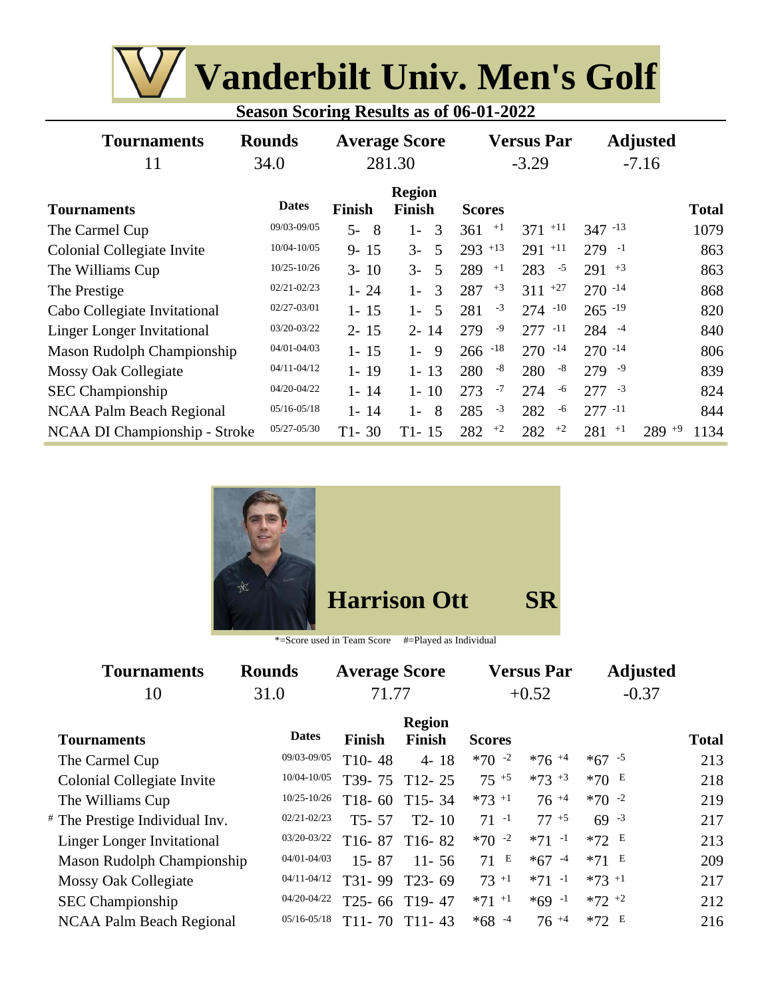| <b>Season Scoring Results as of 06-01-2022</b> |  |
|------------------------------------------------|--|
|                                                |  |

| <b>Tournaments</b><br>11          | <b>Rounds</b><br>34.0 | <b>Average Score</b><br>281.30 |                                | <b>Versus Par</b><br>$-3.29$ |              | <b>Adjusted</b><br>$-7.16$ |              |
|-----------------------------------|-----------------------|--------------------------------|--------------------------------|------------------------------|--------------|----------------------------|--------------|
| <b>Tournaments</b>                | <b>Dates</b>          | <b>Finish</b>                  | <b>Region</b><br><b>Finish</b> | <b>Scores</b>                |              |                            | <b>Total</b> |
| The Carmel Cup                    | 09/03-09/05           | $5-$<br>- 8                    | $1-$<br>$\mathcal{R}$          | $+1$<br>361                  | $371 +11$    | $347 - 13$                 | 1079         |
| Colonial Collegiate Invite        | 10/04-10/05           | $9 - 15$                       | $3-$<br>.5                     | $293$ +13                    | $291 + 11$   | $279 - 1$                  | 863          |
| The Williams Cup                  | $10/25 - 10/26$       | $3 - 10$                       | $3-$<br>-5                     | 289<br>$+1$                  | 283<br>$-5$  | $291 + 3$                  | 863          |
| The Prestige                      | $02/21 - 02/23$       | $1 - 24$                       | 3<br>$1 -$                     | $+3$<br>287                  | $311 +27$    | $270 - 14$                 | 868          |
| Cabo Collegiate Invitational      | 02/27-03/01           | $1 - 15$                       | -5<br>$1 -$                    | $-3$<br>281                  | $274 - 10$   | $265 - 19$                 | 820          |
| <b>Linger Longer Invitational</b> | 03/20-03/22           | $2 - 15$                       | $2 - 14$                       | $-9$<br>279                  | $277 - 11$   | $284 - 4$                  | 840          |
| Mason Rudolph Championship        | 04/01-04/03           | $1 - 15$                       | -9<br>$1 -$                    | $-18$<br>266                 | 270<br>$-14$ | $270 - 14$                 | 806          |
| Mossy Oak Collegiate              | $04/11 - 04/12$       | $1 - 19$                       | $1 - 13$                       | -8<br>280                    | -8<br>280    | $279 - 9$                  | 839          |
| <b>SEC</b> Championship           | 04/20-04/22           | $1 - 14$                       | $1 - 10$                       | $-7$<br>273                  | 274<br>-6    | $277 - 3$                  | 824          |
| <b>NCAA Palm Beach Regional</b>   | $05/16 - 05/18$       | $1 - 14$                       | 8<br>$1 -$                     | $-3$<br>285                  | 282<br>-6    | $277 - 11$                 | 844          |
| NCAA DI Championship - Stroke     | $05/27 - 05/30$       | $T1 - 30$                      | $T1 - 15$                      | $+2$<br>282                  | $+2$<br>282  | 281<br>$+1$<br>$289 + 9$   | 1134         |



| <b>Tournaments</b>                        | <b>Rounds</b>   | <b>Average Score</b> |                                |                     | <b>Versus Par</b> | <b>Adjusted</b> |              |
|-------------------------------------------|-----------------|----------------------|--------------------------------|---------------------|-------------------|-----------------|--------------|
| 10                                        | 31.0            | 71.77                |                                |                     | $+0.52$           | $-0.37$         |              |
| <b>Tournaments</b>                        | <b>Dates</b>    | Finish               | <b>Region</b><br><b>Finish</b> | <b>Scores</b>       |                   |                 | <b>Total</b> |
| The Carmel Cup                            | 09/03-09/05     | $T10-48$             | $4 - 18$                       | $*70 -2$            | $*76 + 4$         | $*67 - 5$       | 213          |
| Colonial Collegiate Invite                | 10/04-10/05     | T <sub>39</sub> -75  | $T12 - 25$                     | $75^{+5}$           | $*73 + 3$         | *70 $E$         | 218          |
| The Williams Cup                          | $10/25 - 10/26$ | $T18-60$             | $T15 - 34$                     | $*73 + 1$           | $76^{+4}$         | $*70 -2$        | 219          |
| <sup>#</sup> The Prestige Individual Inv. | $02/21 - 02/23$ | $T5 - 57$            | $T2 - 10$                      | $71 - 1$            | $77+5$            | $69 - 3$        | 217          |
| <b>Linger Longer Invitational</b>         | 03/20-03/22     | $T16-87$             | $T16-82$                       | $*70 -2$            | $*71 -1$          | $*72 E$         | 213          |
| Mason Rudolph Championship                | $04/01 - 04/03$ | $15 - 87$            | $11 - 56$                      | 71E                 | $*67 - 4$         | $*71 E$         | 209          |
| Mossy Oak Collegiate                      | $04/11 - 04/12$ | T31-99               | $T23 - 69$                     | $73 + 1$            | $*71 -1$          | $*73 + 1$       | 217          |
| <b>SEC</b> Championship                   | 04/20-04/22     | $T25 - 66$           | $T19-47$                       | $*71$ <sup>+1</sup> | $*69 -1$          | $*72 +2$        | 212          |
| <b>NCAA Palm Beach Regional</b>           | $05/16 - 05/18$ | $T11 - 70$           | $T11-43$                       | $*68 - 4$           | $76 + 4$          | $*72 E$         | 216          |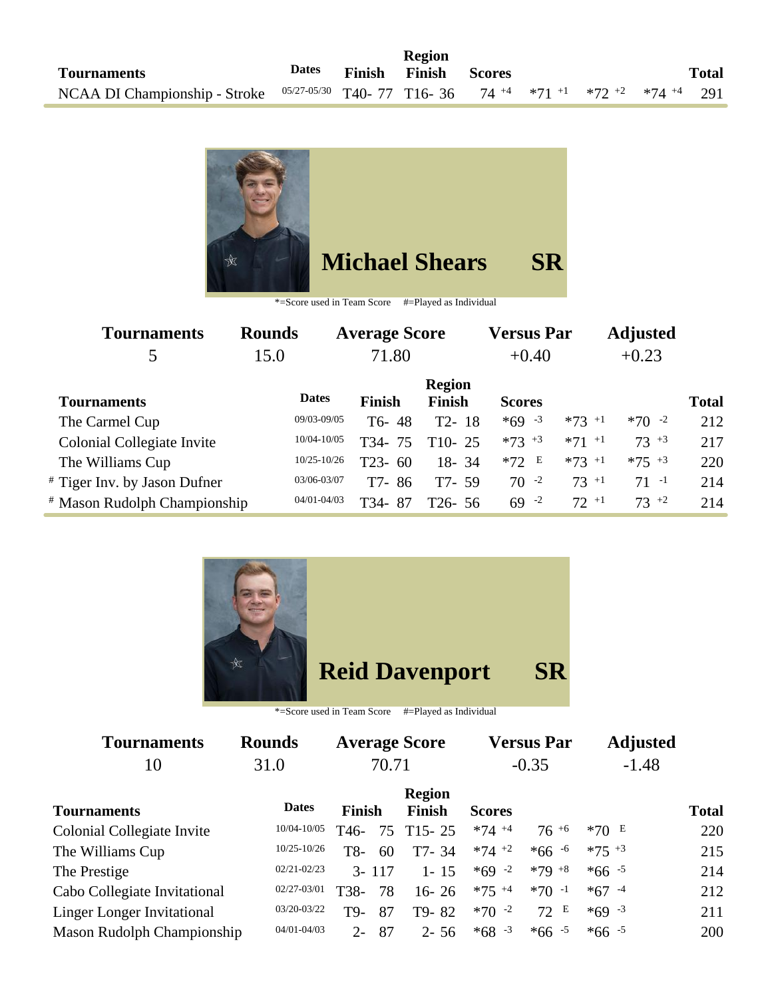

| Tournaments                             | <b>Rounds</b>   | <b>Average Score</b> |                                | <b>Versus Par</b>   |                     | <b>Adjusted</b> |              |
|-----------------------------------------|-----------------|----------------------|--------------------------------|---------------------|---------------------|-----------------|--------------|
| 5                                       | 15.0            | 71.80                |                                | $+0.40$             |                     | $+0.23$         |              |
| <b>Tournaments</b>                      | <b>Dates</b>    | <b>Finish</b>        | <b>Region</b><br><b>Finish</b> | <b>Scores</b>       |                     |                 | <b>Total</b> |
|                                         |                 |                      |                                |                     |                     |                 |              |
| The Carmel Cup                          | 09/03-09/05     | T6-48                | $T2 - 18$                      | $*69 - 3$           | $*73$ +1            | $*70 -2$        | 212          |
| Colonial Collegiate Invite              | 10/04-10/05     | T34-75               | $T10-25$                       | $*73$ <sup>+3</sup> | $*71$ <sup>+1</sup> | $73^{+3}$       | 217          |
| The Williams Cup                        | $10/25 - 10/26$ | T23-<br>60           | $18 - 34$                      | $*72 E$             | $*73 + 1$           | $*75$ $*3$      | 220          |
| # Tiger Inv. by Jason Dufner            | 03/06-03/07     | T7-86                | $T7 - 59$                      | $70 - 2$            | $73 + 1$            | $71 - 1$        | 214          |
| <sup>#</sup> Mason Rudolph Championship | $04/01 - 04/03$ | T34-<br>87           | $T26 - 56$                     | $69 - 2$            | $72 + 1$            | $73^{+2}$       | 214          |



## **Reid Davenport SR**

| <b>Tournaments</b>                | <b>Rounds</b>   |                   |    | <b>Average Score</b>           |               | <b>Versus Par</b> |           | <b>Adjusted</b> |              |
|-----------------------------------|-----------------|-------------------|----|--------------------------------|---------------|-------------------|-----------|-----------------|--------------|
| 10                                | 70.71<br>31.0   |                   |    | $-0.35$                        |               | $-1.48$           |           |                 |              |
| <b>Tournaments</b>                | <b>Dates</b>    | Finish            |    | <b>Region</b><br><b>Finish</b> | <b>Scores</b> |                   |           |                 | <b>Total</b> |
| Colonial Collegiate Invite        | 10/04-10/05     | T <sub>46</sub> - | 75 | $T15 - 25$                     | $*74 + 4$     | $76^{+6}$         | $*70E$    |                 | 220          |
| The Williams Cup                  | $10/25 - 10/26$ | T8-               | 60 | T7-34                          | $*74$ +2      | $*66 - 6$         | $*75 + 3$ |                 | 215          |
| The Prestige                      | $02/21 - 02/23$ | $3 - 117$         |    | $1 - 15$                       | $*69 - 2$     | $*79 + 8$         | $*66 - 5$ |                 | 214          |
| Cabo Collegiate Invitational      | 02/27-03/01     | T38-              | 78 | $16 - 26$                      | $*75$ +4      | $*70 -1$          | $*67 - 4$ |                 | 212          |
| <b>Linger Longer Invitational</b> | 03/20-03/22     | T9-               | 87 | T9-82                          | $*70 -2$      | 72 E              | $*69 - 3$ |                 | 211          |
| Mason Rudolph Championship        | $04/01 - 04/03$ | $2 -$             | 87 | $2 - 56$                       | $*68 - 3$     | $*66 - 5$         | $*66 - 5$ |                 | 200          |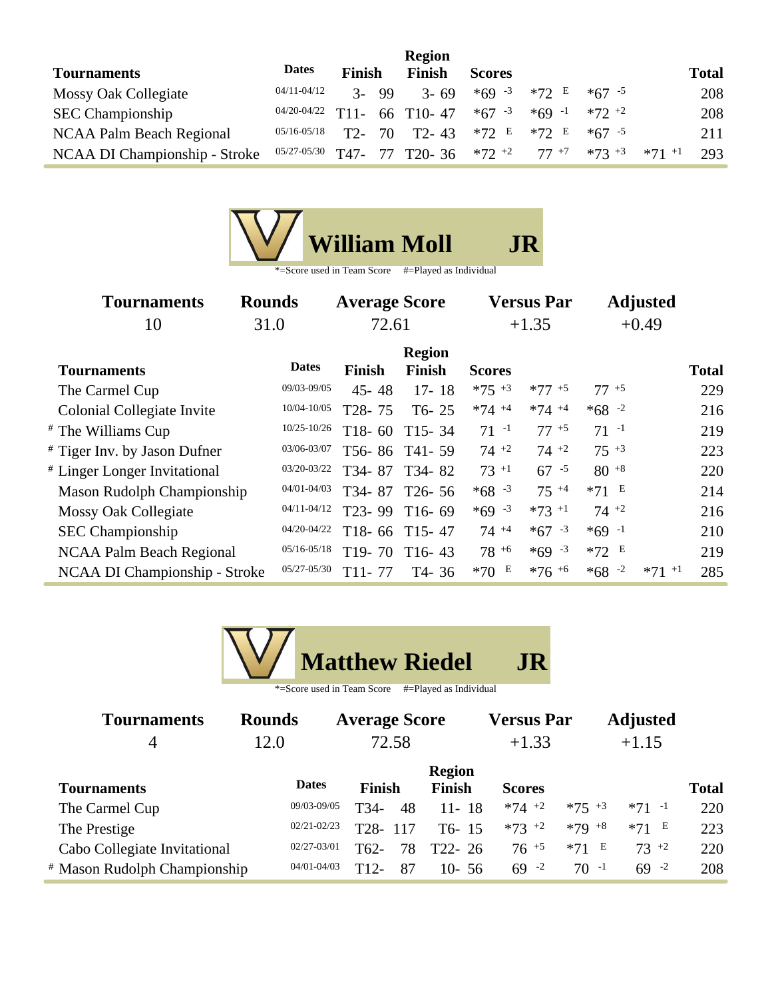|                               |                 |                   |    | <b>Region</b>          |               |          |           |          |              |
|-------------------------------|-----------------|-------------------|----|------------------------|---------------|----------|-----------|----------|--------------|
| <b>Tournaments</b>            | <b>Dates</b>    | <b>Finish</b>     |    | <b>Finish</b>          | <b>Scores</b> |          |           |          | <b>Total</b> |
| Mossy Oak Collegiate          | $04/11 - 04/12$ | $\mathcal{Z}_{-}$ | 99 | $3 - 69$               | $*69 - 3$     | $*72$ E  | $*67 - 5$ |          | 208          |
| <b>SEC Championship</b>       | 04/20-04/22     | $T11-$            |    | 66 T10-47              | $*67 - 3$     | $*69 -1$ | $*72 + 2$ |          | 208          |
| NCAA Palm Beach Regional      | $05/16 - 05/18$ | $T2$ -            | 70 | $T2 - 43$              | $*72$ E       | $*72$ E  | $*67 - 5$ |          | 211          |
| NCAA DI Championship - Stroke | 05/27-05/30     | T47-              |    | 77 T <sub>20</sub> -36 | $*72$ $*2$    | $77+7$   | $*73 + 3$ | $*71$ +1 | 293          |

| <b>Tournaments</b>              | <b>Rounds</b>   | <b>Average Score</b> |                                |               | <b>Versus Par</b> |           | <b>Adjusted</b> |
|---------------------------------|-----------------|----------------------|--------------------------------|---------------|-------------------|-----------|-----------------|
| 10                              | 31.0            | 72.61                |                                |               | $+1.35$           |           | $+0.49$         |
| <b>Tournaments</b>              | <b>Dates</b>    | <b>Finish</b>        | <b>Region</b><br><b>Finish</b> | <b>Scores</b> |                   |           | <b>Total</b>    |
| The Carmel Cup                  | 09/03-09/05     | $45 - 48$            | $17 - 18$                      | $*75$ +3      | $*77 + 5$         | $77^{+5}$ | 229             |
| Colonial Collegiate Invite      | 10/04-10/05     | T <sub>28</sub> -75  | $T6 - 25$                      | $*74 + 4$     | $*74 + 4$         | $*68 - 2$ | 216             |
| # The Williams Cup              | $10/25 - 10/26$ | $T18-60$             | $T15 - 34$                     | $71 - 1$      | $77^{+5}$         | $71 - 1$  | 219             |
| # Tiger Inv. by Jason Dufner    | 03/06-03/07     |                      | T56-86 T41-59                  | $74 +2$       | $74 +2$           | $75 + 3$  | 223             |
| # Linger Longer Invitational    | 03/20-03/22     | T34-87               | T34-82                         | $73 + 1$      | $67 - 5$          | $80^{+8}$ | 220             |
| Mason Rudolph Championship      | 04/01-04/03     | T34-87               | $T26 - 56$                     | $*68 - 3$     | $75^{+4}$         | $*71$ E   | 214             |
| Mossy Oak Collegiate            | $04/11 - 04/12$ | T <sub>23</sub> -99  | $T16-69$                       | $*69 - 3$     | $*73$ +1          | $74 +2$   | 216             |
| <b>SEC</b> Championship         | 04/20-04/22     |                      | T18-66 T15-47                  | $74+4$        | $*67 - 3$         | $*69 -1$  | 210             |
| <b>NCAA Palm Beach Regional</b> | $05/16 - 05/18$ | $T19-70$             | $T16-43$                       | $78^{+6}$     | $*69 - 3$         | $*72$ E   | 219             |
| NCAA DI Championship - Stroke   | 05/27-05/30     | $T11 - 77$           | T <sub>4</sub> -36             | *70 $E$       | $*76 + 6$         | $*68 - 2$ | $*71$ +1<br>285 |



| <b>Tournaments</b>                      | <b>Rounds</b>   | <b>Average Score</b>     |                      | <b>Versus Par</b> |           | <b>Adjusted</b> |              |
|-----------------------------------------|-----------------|--------------------------|----------------------|-------------------|-----------|-----------------|--------------|
|                                         | 12.0            | 72.58                    |                      | $+1.33$           |           | $+1.15$         |              |
|                                         | <b>Dates</b>    |                          | <b>Region</b>        |                   |           |                 |              |
| <b>Tournaments</b>                      |                 | <b>Finish</b>            | <b>Finish</b>        | <b>Scores</b>     |           |                 | <b>Total</b> |
| The Carmel Cup                          | 09/03-09/05     | 48<br>T34-               | $11 - 18$            | $*74$ +2          | $*75$ +3  | $*71 -1$        | 220          |
| The Prestige                            | $02/21 - 02/23$ | T <sub>28</sub> -<br>117 | $T6-15$              | $*73$ +2          | $*79 + 8$ | $*71$ E         | 223          |
| Cabo Collegiate Invitational            | $02/27 - 03/01$ | T <sub>62</sub> -<br>78  | T <sub>22</sub> - 26 | $76^{+5}$         | $*71 E$   | $73 + 2$        | 220          |
| <sup>#</sup> Mason Rudolph Championship | 04/01-04/03     | $T12-$<br>87             | $10 - 56$            | $69 - 2$          | $70 - 1$  | $69 - 2$        | 208          |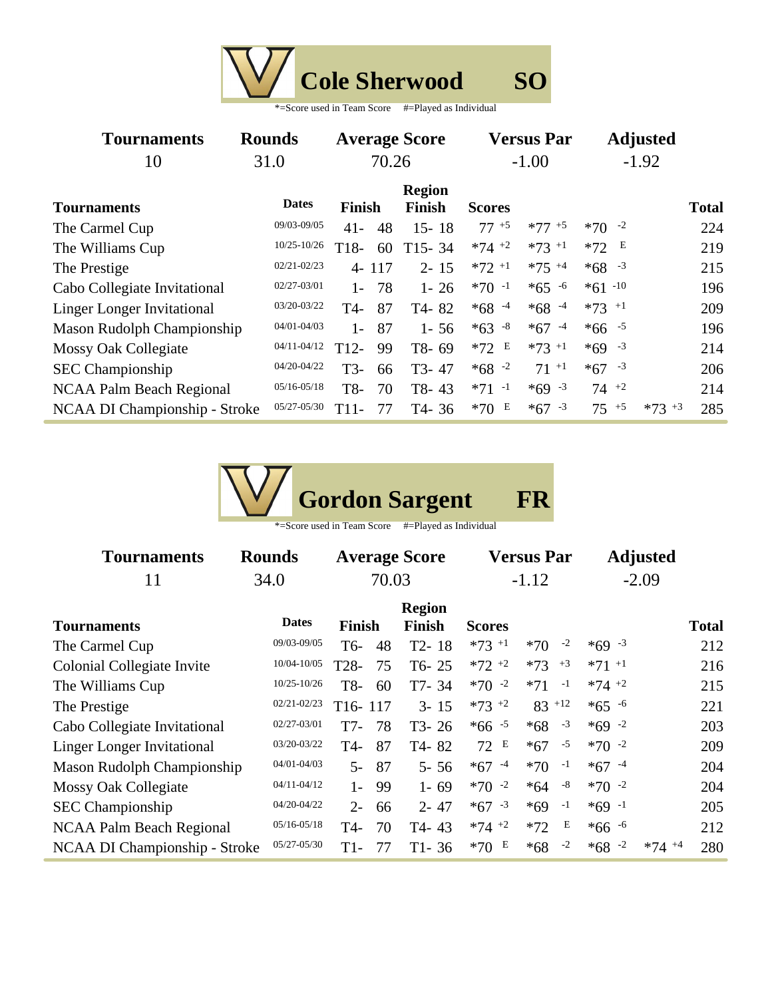| <b>Cole Sherwood</b> |  |
|----------------------|--|
|----------------------|--|

| <b>Tournaments</b>                | <b>Rounds</b>   |               |    | <b>Average Score</b>    |               | <b>Versus Par</b>   | <b>Adjusted</b>     |           |              |
|-----------------------------------|-----------------|---------------|----|-------------------------|---------------|---------------------|---------------------|-----------|--------------|
| 10                                | 31.0            | 70.26         |    |                         | $-1.00$       |                     | $-1.92$             |           |              |
| <b>Tournaments</b>                | <b>Dates</b>    | <b>Finish</b> |    | <b>Region</b><br>Finish | <b>Scores</b> |                     |                     |           | <b>Total</b> |
| The Carmel Cup                    | 09/03-09/05     | $41 -$        | 48 | $15 - 18$               | $77^{+5}$     | $*77 + 5$           | $*70 -2$            |           | 224          |
| The Williams Cup                  | 10/25-10/26     | $T18-$        | 60 | $T15 - 34$              | $*74$ +2      | $*73$ <sup>+1</sup> | E<br>$*72$          |           | 219          |
| The Prestige                      | $02/21 - 02/23$ | $4 - 117$     |    | $2 - 15$                | $*72 +1$      | $*75 + 4$           | $*68 - 3$           |           | 215          |
| Cabo Collegiate Invitational      | 02/27-03/01     | $1 -$         | 78 | $1 - 26$                | $*70 -1$      | $*65 - 6$           | $*61 - 10$          |           | 196          |
| <b>Linger Longer Invitational</b> | 03/20-03/22     | T4-           | 87 | T4-82                   | $*68 - 4$     | $*68 - 4$           | $*73$ <sup>+1</sup> |           | 209          |
| Mason Rudolph Championship        | 04/01-04/03     | $1-$          | 87 | $1 - 56$                | $*63 - 8$     | $*67 - 4$           | $*66 - 5$           |           | 196          |
| <b>Mossy Oak Collegiate</b>       | $04/11 - 04/12$ | $T12-$        | 99 | T8-69                   | $*72 E$       | $*73 + 1$           | $*69 - 3$           |           | 214          |
| <b>SEC</b> Championship           | 04/20-04/22     | $T3-$         | 66 | T <sub>3</sub> -47      | $*68 - 2$     | $71^{-1}$           | $*67 - 3$           |           | 206          |
| NCAA Palm Beach Regional          | $05/16 - 05/18$ | T8-           | 70 | T8-43                   | $*71 -1$      | $*69 - 3$           | $74 +2$             |           | 214          |
| NCAA DI Championship - Stroke     | 05/27-05/30     | T11-          | 77 | T4-36                   | E<br>$*70$    | $*67 - 3$           | $75^{+5}$           | $*73 + 3$ | 285          |



| <b>Tournaments</b>                   | <b>Rounds</b>   | <b>Average Score</b> |     |           |                     | <b>Versus Par</b> |      | <b>Adjusted</b> |           |              |
|--------------------------------------|-----------------|----------------------|-----|-----------|---------------------|-------------------|------|-----------------|-----------|--------------|
| 11                                   | 34.0            | 70.03                |     |           | $-1.12$             |                   |      | $-2.09$         |           |              |
|                                      |                 | <b>Region</b>        |     |           |                     |                   |      |                 |           |              |
| <b>Tournaments</b>                   | <b>Dates</b>    | Finish               |     | Finish    | <b>Scores</b>       |                   |      |                 |           | <b>Total</b> |
| The Carmel Cup                       | 09/03-09/05     | T6-                  | 48  | $T2 - 18$ | $*73$ <sup>+1</sup> | $*70$             | $-2$ | $*69 - 3$       |           | 212          |
| Colonial Collegiate Invite           | 10/04-10/05     | T <sub>28</sub> -    | 75  | $T6 - 25$ | $*72 + 2$           | $*73$             | $+3$ | $*71$ +1        |           | 216          |
| The Williams Cup                     | $10/25 - 10/26$ | T8-                  | 60  | $T7 - 34$ | $*70 -2$            | $*71$             | $-1$ | $*74 +2$        |           | 215          |
| The Prestige                         | $02/21 - 02/23$ | T16-117              |     | $3 - 15$  | $*73 + 2$           | $83$ +12          |      | $*65 - 6$       |           | 221          |
| Cabo Collegiate Invitational         | 02/27-03/01     | T7-                  | 78  | $T3 - 26$ | $*66 - 5$           | $*68$             | $-3$ | $*69 -2$        |           | 203          |
| <b>Linger Longer Invitational</b>    | 03/20-03/22     | T4-                  | 87  | T4-82     | 72 E                | $*67$             | $-5$ | $*70 -2$        |           | 209          |
| <b>Mason Rudolph Championship</b>    | 04/01-04/03     | $5-$                 | 87  | $5 - 56$  | $*67 - 4$           | $*70$             | $-1$ | $*67 - 4$       |           | 204          |
| <b>Mossy Oak Collegiate</b>          | $04/11 - 04/12$ | $1-$                 | -99 | $1 - 69$  | $*70 -2$            | $*64$             | $-8$ | $*70 -2$        |           | 204          |
| <b>SEC Championship</b>              | 04/20-04/22     | $2 -$                | 66  | $2 - 47$  | $*67 - 3$           | $*69 -1$          |      | $*69 -1$        |           | 205          |
| <b>NCAA Palm Beach Regional</b>      | $05/16 - 05/18$ | T4-                  | 70  | T4-43     | $*74 +2$            | $*72$             | E    | $*66 - 6$       |           | 212          |
| <b>NCAA DI Championship - Stroke</b> | 05/27-05/30     | T1-                  | 77  | $T1 - 36$ | E<br>$*70$          | $*68$             | $-2$ | $*68 - 2$       | $*74 + 4$ | 280          |
|                                      |                 |                      |     |           |                     |                   |      |                 |           |              |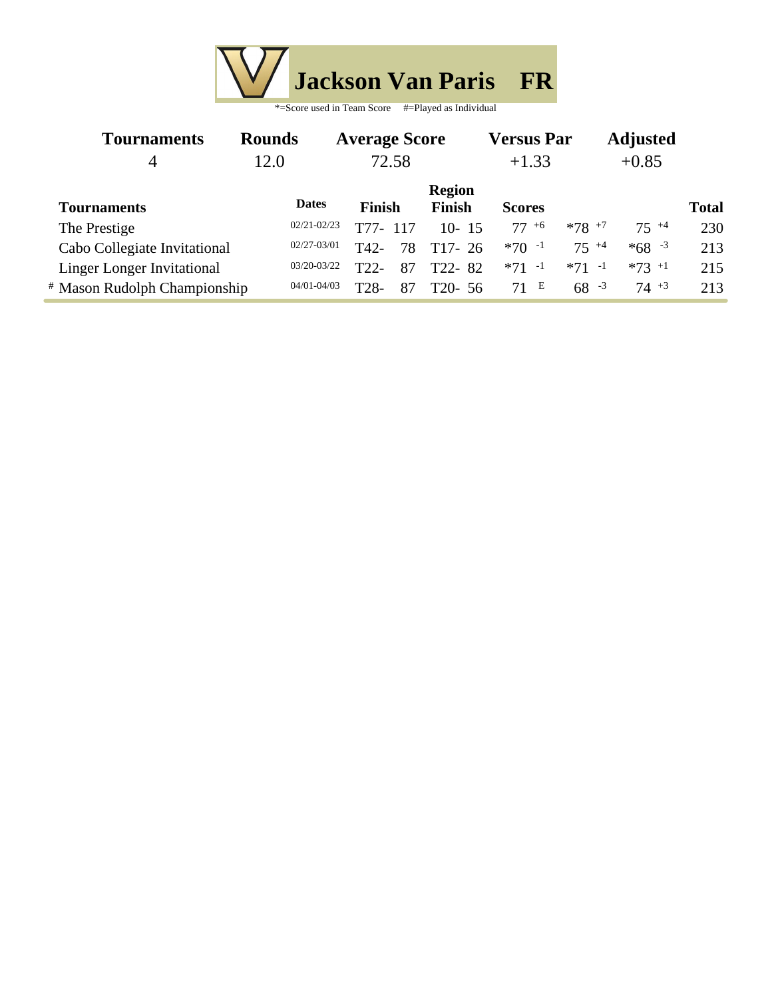

| *=Score used in Team Score | #=Played as Individual |
|----------------------------|------------------------|
|----------------------------|------------------------|

| <b>Tournaments</b>                      | <b>Rounds</b>   | <b>Average Score</b>    |               | <b>Versus Par</b> |           | <b>Adjusted</b> |              |  |
|-----------------------------------------|-----------------|-------------------------|---------------|-------------------|-----------|-----------------|--------------|--|
| 4                                       | 12.0            | 72.58                   |               |                   |           | $+0.85$         |              |  |
|                                         |                 |                         | <b>Region</b> |                   |           |                 |              |  |
| <b>Tournaments</b>                      | <b>Dates</b>    | <b>Finish</b>           | <b>Finish</b> | <b>Scores</b>     |           |                 | <b>Total</b> |  |
| The Prestige                            | $02/21 - 02/23$ | T77-<br>117             | $10 - 15$     | $77+6$            | $*78$ +7  | $75^{+4}$       | 230          |  |
| Cabo Collegiate Invitational            | $02/27 - 03/01$ | T42-<br>78              | $T17-26$      | $*70 -1$          | $75^{+4}$ | $*68 - 3$       | 213          |  |
| <b>Linger Longer Invitational</b>       | $03/20 - 03/22$ | T22<br>87               | T22-82        | $*71 -1$          | $*71 -1$  | $*73 + 1$       | 215          |  |
| <sup>#</sup> Mason Rudolph Championship | $04/01 - 04/03$ | T <sub>28</sub> -<br>87 | $T20-56$      | 71 E              | $68 - 3$  | $74 + 3$        | 213          |  |